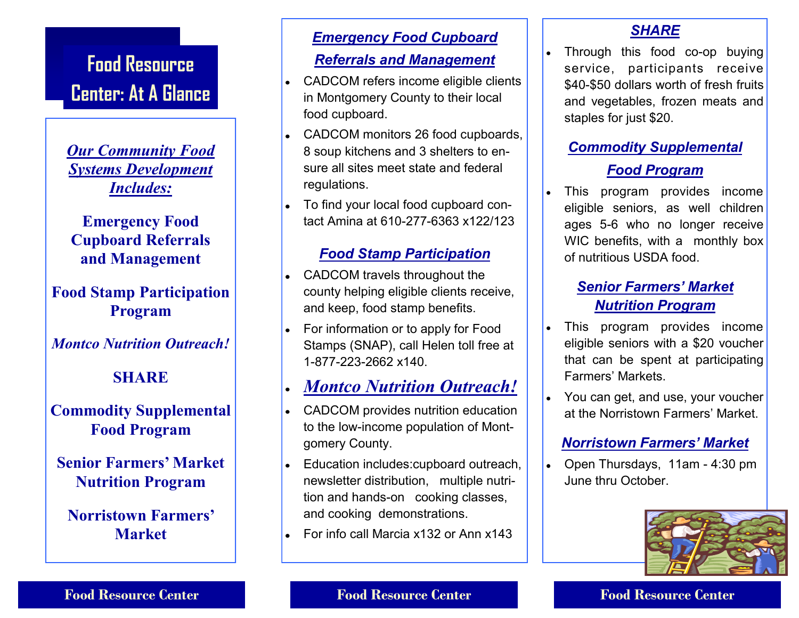# **Food Resource Center: At A Glance**

*Our Community Food Systems Development Includes:*

**Emergency Food Cupboard Referrals and Management**

**Food Stamp Participation Program**

*Montco Nutrition Outreach!*

#### **SHARE**

#### **Commodity Supplemental Food Program**

**Senior Farmers' Market Nutrition Program**

**Norristown Farmers' Market**

### *Emergency Food Cupboard Referrals and Management*

- CADCOM refers income eligible clients in Montgomery County to their local food cupboard.
- CADCOM monitors 26 food cupboards, 8 soup kitchens and 3 shelters to ensure all sites meet state and federal regulations.
- To find your local food cupboard contact Amina at 610-277-6363 x122/123

#### *Food Stamp Participation*

- CADCOM travels throughout the county helping eligible clients receive, and keep, food stamp benefits.
- For information or to apply for Food Stamps (SNAP), call Helen toll free at 1-877-223-2662 x140.

#### *Montco Nutrition Outreach!*

- CADCOM provides nutrition education to the low-income population of Montgomery County.
- Education includes: cupboard outreach, newsletter distribution, multiple nutrition and hands-on cooking classes, and cooking demonstrations.
- For info call Marcia x132 or Ann x143

#### *SHARE*

Through this food co-op buying service, participants receive \$40-\$50 dollars worth of fresh fruits and vegetables, frozen meats and staples for just \$20.

#### *Commodity Supplemental*

#### *Food Program*

This program provides income eligible seniors, as well children ages 5-6 who no longer receive WIC benefits, with a monthly box of nutritious USDA food.

#### *Senior Farmers' Market Nutrition Program*

- This program provides income eligible seniors with a \$20 voucher that can be spent at participating Farmers' Markets.
- You can get, and use, your voucher at the Norristown Farmers' Market.

#### *Norristown Farmers' Market*

Open Thursdays, 11am - 4:30 pm June thru October.



#### **Food Resource Center Food Resource Center Food Resource Center**